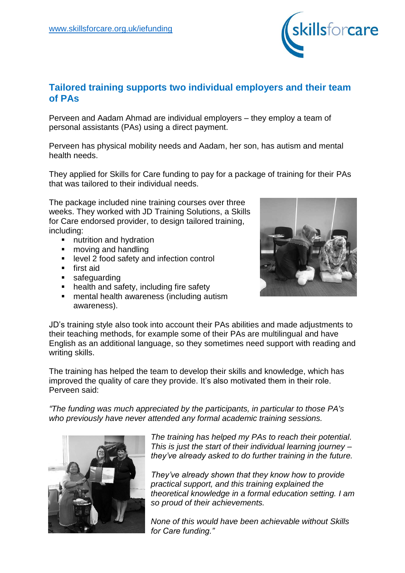

## **Tailored training supports two individual employers and their team of PAs**

Perveen and Aadam Ahmad are individual employers – they employ a team of personal assistants (PAs) using a direct payment.

Perveen has physical mobility needs and Aadam, her son, has autism and mental health needs.

They applied for Skills for Care funding to pay for a package of training for their PAs that was tailored to their individual needs.

The package included nine training courses over three weeks. They worked with JD Training Solutions, a Skills for Care endorsed provider, to design tailored training, including:

- **nutrition and hydration**<br>**nota** and handling
- moving and handling
- **EXECTE 2 food safety and infection control**
- **first aid**
- **safeguarding**
- health and safety, including fire safety
- mental health awareness (including autism awareness).



JD's training style also took into account their PAs abilities and made adjustments to their teaching methods, for example some of their PAs are multilingual and have English as an additional language, so they sometimes need support with reading and writing skills.

The training has helped the team to develop their skills and knowledge, which has improved the quality of care they provide. It's also motivated them in their role. Perveen said:

*"The funding was much appreciated by the participants, in particular to those PA's who previously have never attended any formal academic training sessions.*



*The training has helped my PAs to reach their potential. This is just the start of their individual learning journey – they've already asked to do further training in the future.*

*They've already shown that they know how to provide practical support, and this training explained the theoretical knowledge in a formal education setting. I am so proud of their achievements.*

*None of this would have been achievable without Skills for Care funding."*